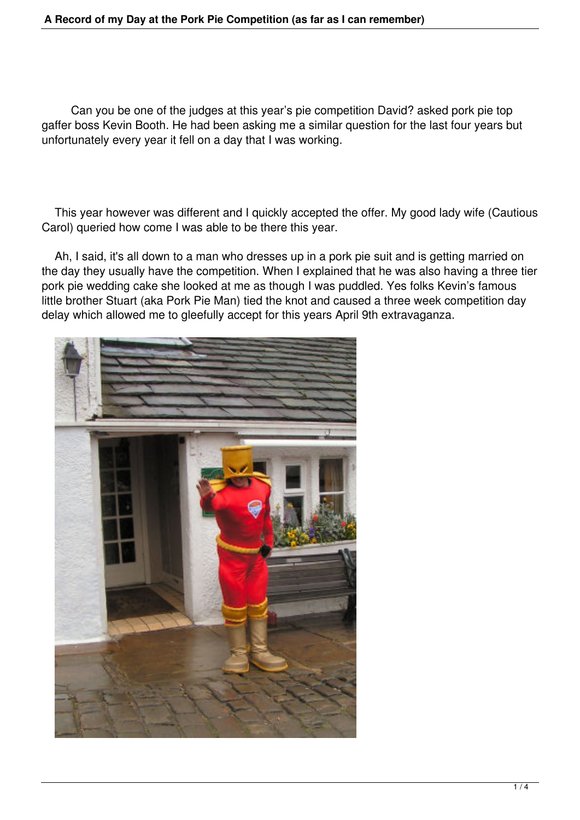Can you be one of the judges at this year's pie competition David? asked pork pie top gaffer boss Kevin Booth. He had been asking me a similar question for the last four years but unfortunately every year it fell on a day that I was working.

 This year however was different and I quickly accepted the offer. My good lady wife (Cautious Carol) queried how come I was able to be there this year.

 Ah, I said, it's all down to a man who dresses up in a pork pie suit and is getting married on the day they usually have the competition. When I explained that he was also having a three tier pork pie wedding cake she looked at me as though I was puddled. Yes folks Kevin's famous little brother Stuart (aka Pork Pie Man) tied the knot and caused a three week competition day delay which allowed me to gleefully accept for this years April 9th extravaganza.

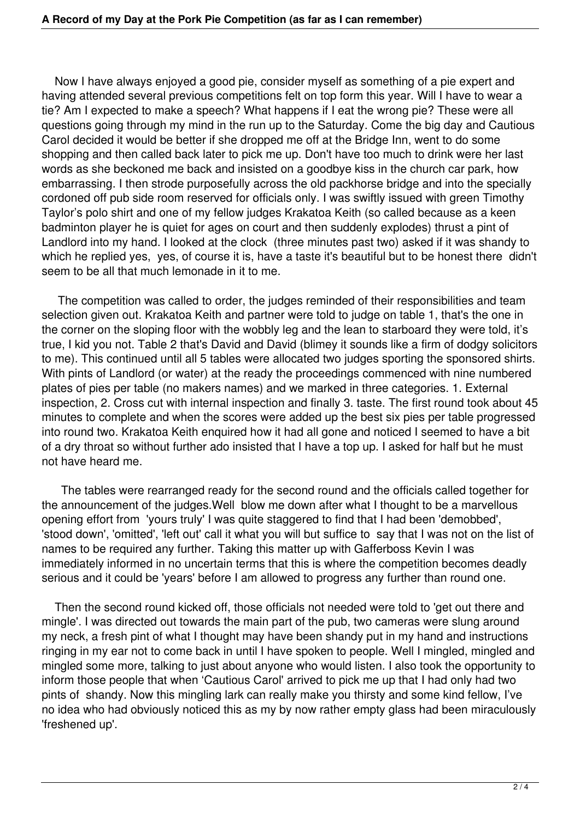Now I have always enjoyed a good pie, consider myself as something of a pie expert and having attended several previous competitions felt on top form this year. Will I have to wear a tie? Am I expected to make a speech? What happens if I eat the wrong pie? These were all questions going through my mind in the run up to the Saturday. Come the big day and Cautious Carol decided it would be better if she dropped me off at the Bridge Inn, went to do some shopping and then called back later to pick me up. Don't have too much to drink were her last words as she beckoned me back and insisted on a goodbye kiss in the church car park, how embarrassing. I then strode purposefully across the old packhorse bridge and into the specially cordoned off pub side room reserved for officials only. I was swiftly issued with green Timothy Taylor's polo shirt and one of my fellow judges Krakatoa Keith (so called because as a keen badminton player he is quiet for ages on court and then suddenly explodes) thrust a pint of Landlord into my hand. I looked at the clock (three minutes past two) asked if it was shandy to which he replied yes, yes, of course it is, have a taste it's beautiful but to be honest there didn't seem to be all that much lemonade in it to me.

 The competition was called to order, the judges reminded of their responsibilities and team selection given out. Krakatoa Keith and partner were told to judge on table 1, that's the one in the corner on the sloping floor with the wobbly leg and the lean to starboard they were told, it's true, I kid you not. Table 2 that's David and David (blimey it sounds like a firm of dodgy solicitors to me). This continued until all 5 tables were allocated two judges sporting the sponsored shirts. With pints of Landlord (or water) at the ready the proceedings commenced with nine numbered plates of pies per table (no makers names) and we marked in three categories. 1. External inspection, 2. Cross cut with internal inspection and finally 3. taste. The first round took about 45 minutes to complete and when the scores were added up the best six pies per table progressed into round two. Krakatoa Keith enquired how it had all gone and noticed I seemed to have a bit of a dry throat so without further ado insisted that I have a top up. I asked for half but he must not have heard me.

 The tables were rearranged ready for the second round and the officials called together for the announcement of the judges.Well blow me down after what I thought to be a marvellous opening effort from 'yours truly' I was quite staggered to find that I had been 'demobbed', 'stood down', 'omitted', 'left out' call it what you will but suffice to say that I was not on the list of names to be required any further. Taking this matter up with Gafferboss Kevin I was immediately informed in no uncertain terms that this is where the competition becomes deadly serious and it could be 'years' before I am allowed to progress any further than round one.

 Then the second round kicked off, those officials not needed were told to 'get out there and mingle'. I was directed out towards the main part of the pub, two cameras were slung around my neck, a fresh pint of what I thought may have been shandy put in my hand and instructions ringing in my ear not to come back in until I have spoken to people. Well I mingled, mingled and mingled some more, talking to just about anyone who would listen. I also took the opportunity to inform those people that when 'Cautious Carol' arrived to pick me up that I had only had two pints of shandy. Now this mingling lark can really make you thirsty and some kind fellow, I've no idea who had obviously noticed this as my by now rather empty glass had been miraculously 'freshened up'.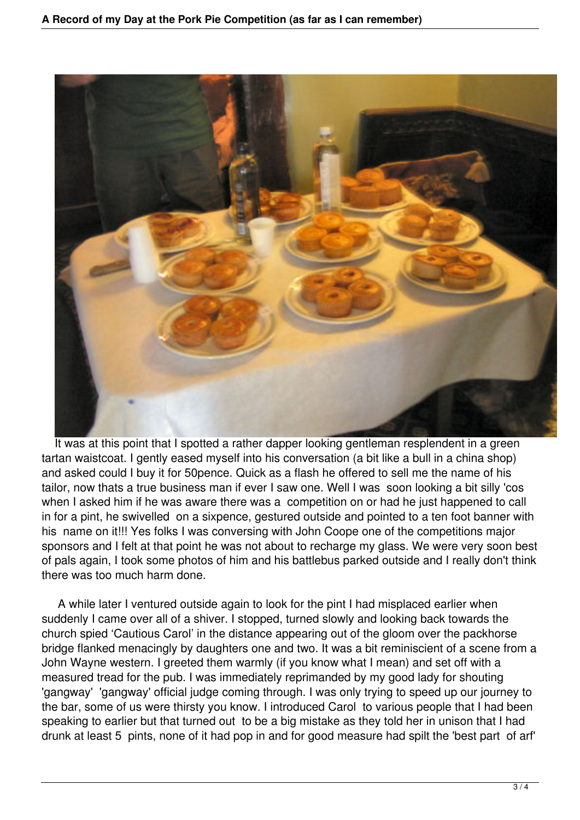

It was at this point that I spotted a rather dapper looking gentleman resplendent in a green tartan waistcoat. I gently eased myself into his conversation (a bit like a bull in a china shop) and asked could I buy it for 50pence. Quick as a flash he offered to sell me the name of his tailor, now thats a true business man if ever I saw one. Well I was soon looking a bit silly 'cos when I asked him if he was aware there was a competition on or had he just happened to call in for a pint, he swivelled on a sixpence, gestured outside and pointed to a ten foot banner with his name on it!!! Yes folks I was conversing with John Coope one of the competitions major sponsors and I felt at that point he was not about to recharge my glass. We were very soon best of pals again, I took some photos of him and his battlebus parked outside and I really don't think there was too much harm done.

 A while later I ventured outside again to look for the pint I had misplaced earlier when suddenly I came over all of a shiver. I stopped, turned slowly and looking back towards the church spied 'Cautious Carol' in the distance appearing out of the gloom over the packhorse bridge flanked menacingly by daughters one and two. It was a bit reminiscient of a scene from a John Wayne western. I greeted them warmly (if you know what I mean) and set off with a measured tread for the pub. I was immediately reprimanded by my good lady for shouting 'gangway' 'gangway' official judge coming through. I was only trying to speed up our journey to the bar, some of us were thirsty you know. I introduced Carol to various people that I had been speaking to earlier but that turned out to be a big mistake as they told her in unison that I had drunk at least 5 pints, none of it had pop in and for good measure had spilt the 'best part of arf'